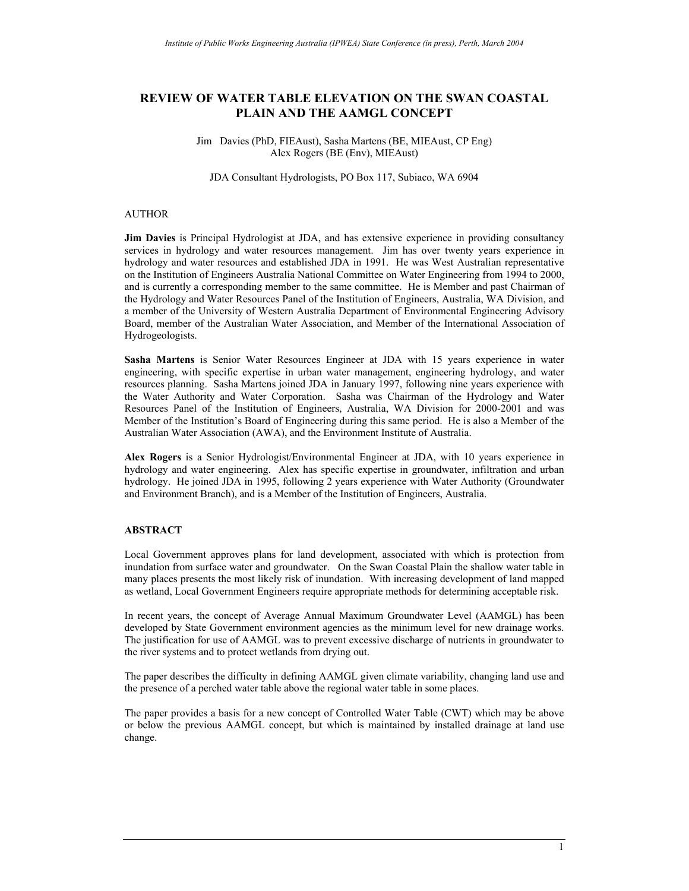### **REVIEW OF WATER TABLE ELEVATION ON THE SWAN COASTAL PLAIN AND THE AAMGL CONCEPT**

#### Jim Davies (PhD, FIEAust), Sasha Martens (BE, MIEAust, CP Eng) Alex Rogers (BE (Env), MIEAust)

JDA Consultant Hydrologists, PO Box 117, Subiaco, WA 6904

#### AUTHOR

**Jim Davies** is Principal Hydrologist at JDA, and has extensive experience in providing consultancy services in hydrology and water resources management. Jim has over twenty years experience in hydrology and water resources and established JDA in 1991. He was West Australian representative on the Institution of Engineers Australia National Committee on Water Engineering from 1994 to 2000, and is currently a corresponding member to the same committee. He is Member and past Chairman of the Hydrology and Water Resources Panel of the Institution of Engineers, Australia, WA Division, and a member of the University of Western Australia Department of Environmental Engineering Advisory Board, member of the Australian Water Association, and Member of the International Association of Hydrogeologists.

**Sasha Martens** is Senior Water Resources Engineer at JDA with 15 years experience in water engineering, with specific expertise in urban water management, engineering hydrology, and water resources planning. Sasha Martens joined JDA in January 1997, following nine years experience with the Water Authority and Water Corporation. Sasha was Chairman of the Hydrology and Water Resources Panel of the Institution of Engineers, Australia, WA Division for 2000-2001 and was Member of the Institution's Board of Engineering during this same period. He is also a Member of the Australian Water Association (AWA), and the Environment Institute of Australia.

**Alex Rogers** is a Senior Hydrologist/Environmental Engineer at JDA, with 10 years experience in hydrology and water engineering. Alex has specific expertise in groundwater, infiltration and urban hydrology. He joined JDA in 1995, following 2 years experience with Water Authority (Groundwater and Environment Branch), and is a Member of the Institution of Engineers, Australia.

#### **ABSTRACT**

Local Government approves plans for land development, associated with which is protection from inundation from surface water and groundwater. On the Swan Coastal Plain the shallow water table in many places presents the most likely risk of inundation. With increasing development of land mapped as wetland, Local Government Engineers require appropriate methods for determining acceptable risk.

In recent years, the concept of Average Annual Maximum Groundwater Level (AAMGL) has been developed by State Government environment agencies as the minimum level for new drainage works. The justification for use of AAMGL was to prevent excessive discharge of nutrients in groundwater to the river systems and to protect wetlands from drying out.

The paper describes the difficulty in defining AAMGL given climate variability, changing land use and the presence of a perched water table above the regional water table in some places.

The paper provides a basis for a new concept of Controlled Water Table (CWT) which may be above or below the previous AAMGL concept, but which is maintained by installed drainage at land use change.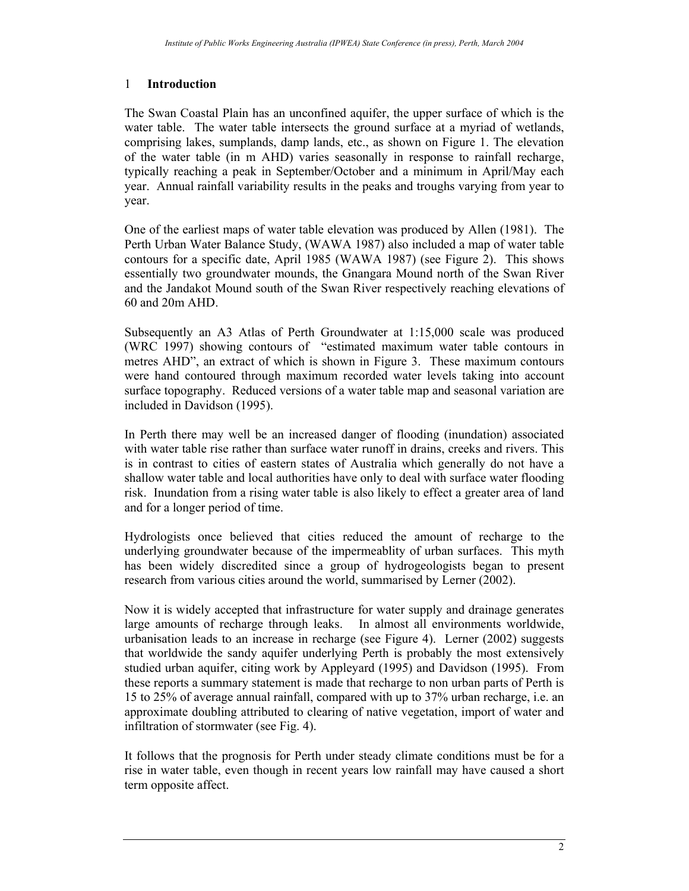# 1 **Introduction**

The Swan Coastal Plain has an unconfined aquifer, the upper surface of which is the water table. The water table intersects the ground surface at a myriad of wetlands, comprising lakes, sumplands, damp lands, etc., as shown on Figure 1. The elevation of the water table (in m AHD) varies seasonally in response to rainfall recharge, typically reaching a peak in September/October and a minimum in April/May each year. Annual rainfall variability results in the peaks and troughs varying from year to year.

One of the earliest maps of water table elevation was produced by Allen (1981). The Perth Urban Water Balance Study, (WAWA 1987) also included a map of water table contours for a specific date, April 1985 (WAWA 1987) (see Figure 2). This shows essentially two groundwater mounds, the Gnangara Mound north of the Swan River and the Jandakot Mound south of the Swan River respectively reaching elevations of 60 and 20m AHD.

Subsequently an A3 Atlas of Perth Groundwater at 1:15,000 scale was produced (WRC 1997) showing contours of "estimated maximum water table contours in metres AHD", an extract of which is shown in Figure 3. These maximum contours were hand contoured through maximum recorded water levels taking into account surface topography. Reduced versions of a water table map and seasonal variation are included in Davidson (1995).

In Perth there may well be an increased danger of flooding (inundation) associated with water table rise rather than surface water runoff in drains, creeks and rivers. This is in contrast to cities of eastern states of Australia which generally do not have a shallow water table and local authorities have only to deal with surface water flooding risk. Inundation from a rising water table is also likely to effect a greater area of land and for a longer period of time.

Hydrologists once believed that cities reduced the amount of recharge to the underlying groundwater because of the impermeablity of urban surfaces. This myth has been widely discredited since a group of hydrogeologists began to present research from various cities around the world, summarised by Lerner (2002).

Now it is widely accepted that infrastructure for water supply and drainage generates large amounts of recharge through leaks. In almost all environments worldwide, urbanisation leads to an increase in recharge (see Figure 4). Lerner (2002) suggests that worldwide the sandy aquifer underlying Perth is probably the most extensively studied urban aquifer, citing work by Appleyard (1995) and Davidson (1995). From these reports a summary statement is made that recharge to non urban parts of Perth is 15 to 25% of average annual rainfall, compared with up to 37% urban recharge, i.e. an approximate doubling attributed to clearing of native vegetation, import of water and infiltration of stormwater (see Fig. 4).

It follows that the prognosis for Perth under steady climate conditions must be for a rise in water table, even though in recent years low rainfall may have caused a short term opposite affect.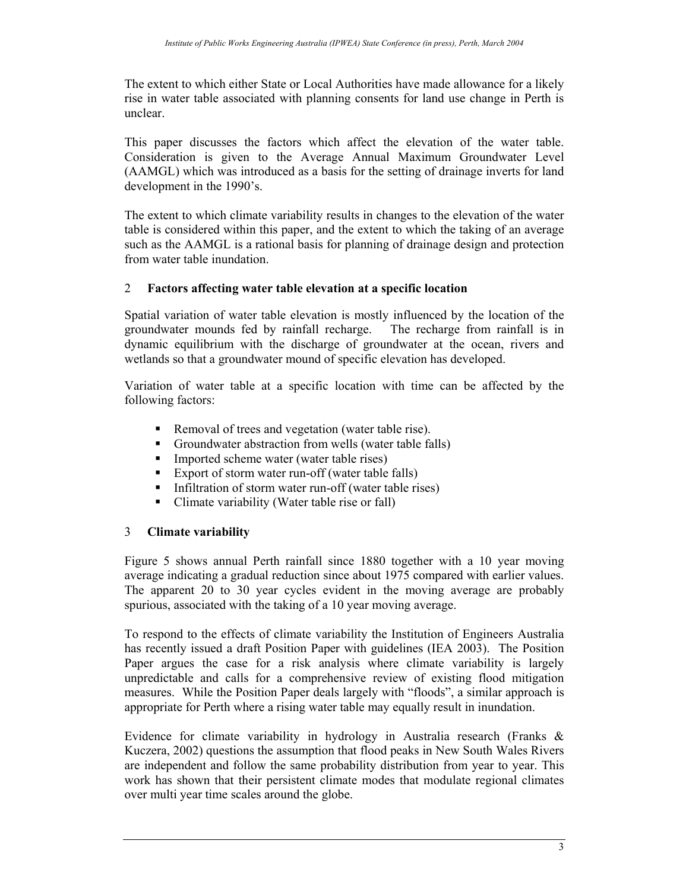The extent to which either State or Local Authorities have made allowance for a likely rise in water table associated with planning consents for land use change in Perth is unclear.

This paper discusses the factors which affect the elevation of the water table. Consideration is given to the Average Annual Maximum Groundwater Level (AAMGL) which was introduced as a basis for the setting of drainage inverts for land development in the 1990's.

The extent to which climate variability results in changes to the elevation of the water table is considered within this paper, and the extent to which the taking of an average such as the AAMGL is a rational basis for planning of drainage design and protection from water table inundation.

## 2 **Factors affecting water table elevation at a specific location**

Spatial variation of water table elevation is mostly influenced by the location of the groundwater mounds fed by rainfall recharge. The recharge from rainfall is in dynamic equilibrium with the discharge of groundwater at the ocean, rivers and wetlands so that a groundwater mound of specific elevation has developed.

Variation of water table at a specific location with time can be affected by the following factors:

- Removal of trees and vegetation (water table rise).
- Groundwater abstraction from wells (water table falls)
- **Imported scheme water (water table rises)**
- Export of storm water run-off (water table falls)
- Infiltration of storm water run-off (water table rises)
- Climate variability (Water table rise or fall)

## 3 **Climate variability**

Figure 5 shows annual Perth rainfall since 1880 together with a 10 year moving average indicating a gradual reduction since about 1975 compared with earlier values. The apparent 20 to 30 year cycles evident in the moving average are probably spurious, associated with the taking of a 10 year moving average.

To respond to the effects of climate variability the Institution of Engineers Australia has recently issued a draft Position Paper with guidelines (IEA 2003). The Position Paper argues the case for a risk analysis where climate variability is largely unpredictable and calls for a comprehensive review of existing flood mitigation measures. While the Position Paper deals largely with "floods", a similar approach is appropriate for Perth where a rising water table may equally result in inundation.

Evidence for climate variability in hydrology in Australia research (Franks & Kuczera, 2002) questions the assumption that flood peaks in New South Wales Rivers are independent and follow the same probability distribution from year to year. This work has shown that their persistent climate modes that modulate regional climates over multi year time scales around the globe.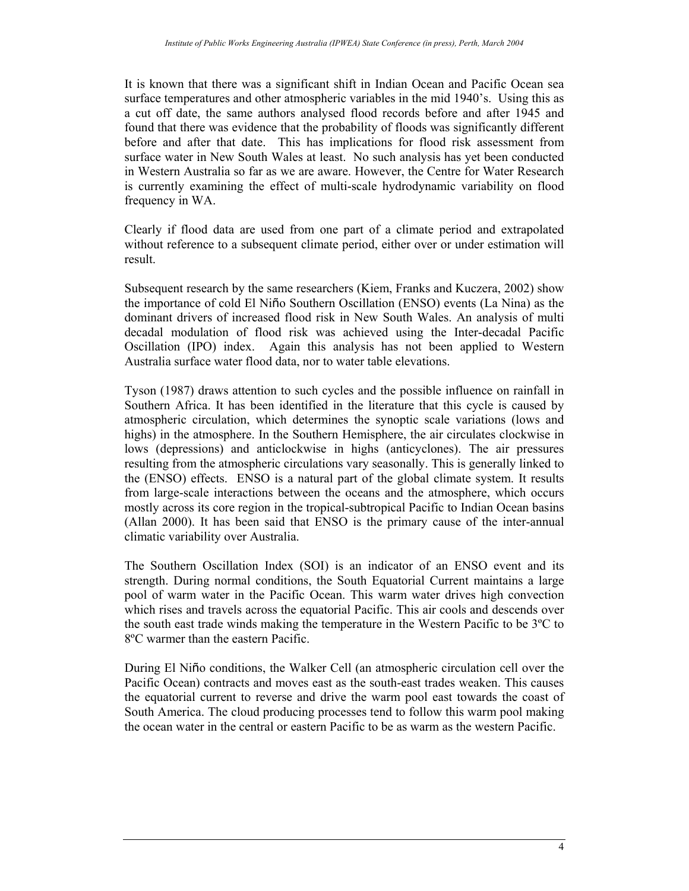It is known that there was a significant shift in Indian Ocean and Pacific Ocean sea surface temperatures and other atmospheric variables in the mid 1940's. Using this as a cut off date, the same authors analysed flood records before and after 1945 and found that there was evidence that the probability of floods was significantly different before and after that date. This has implications for flood risk assessment from surface water in New South Wales at least. No such analysis has yet been conducted in Western Australia so far as we are aware. However, the Centre for Water Research is currently examining the effect of multi-scale hydrodynamic variability on flood frequency in WA.

Clearly if flood data are used from one part of a climate period and extrapolated without reference to a subsequent climate period, either over or under estimation will result.

Subsequent research by the same researchers (Kiem, Franks and Kuczera, 2002) show the importance of cold El Niño Southern Oscillation (ENSO) events (La Nina) as the dominant drivers of increased flood risk in New South Wales. An analysis of multi decadal modulation of flood risk was achieved using the Inter-decadal Pacific Oscillation (IPO) index. Again this analysis has not been applied to Western Australia surface water flood data, nor to water table elevations.

Tyson (1987) draws attention to such cycles and the possible influence on rainfall in Southern Africa. It has been identified in the literature that this cycle is caused by atmospheric circulation, which determines the synoptic scale variations (lows and highs) in the atmosphere. In the Southern Hemisphere, the air circulates clockwise in lows (depressions) and anticlockwise in highs (anticyclones). The air pressures resulting from the atmospheric circulations vary seasonally. This is generally linked to the (ENSO) effects. ENSO is a natural part of the global climate system. It results from large-scale interactions between the oceans and the atmosphere, which occurs mostly across its core region in the tropical-subtropical Pacific to Indian Ocean basins (Allan 2000). It has been said that ENSO is the primary cause of the inter-annual climatic variability over Australia.

The Southern Oscillation Index (SOI) is an indicator of an ENSO event and its strength. During normal conditions, the South Equatorial Current maintains a large pool of warm water in the Pacific Ocean. This warm water drives high convection which rises and travels across the equatorial Pacific. This air cools and descends over the south east trade winds making the temperature in the Western Pacific to be 3ºC to 8ºC warmer than the eastern Pacific.

During El Niño conditions, the Walker Cell (an atmospheric circulation cell over the Pacific Ocean) contracts and moves east as the south-east trades weaken. This causes the equatorial current to reverse and drive the warm pool east towards the coast of South America. The cloud producing processes tend to follow this warm pool making the ocean water in the central or eastern Pacific to be as warm as the western Pacific.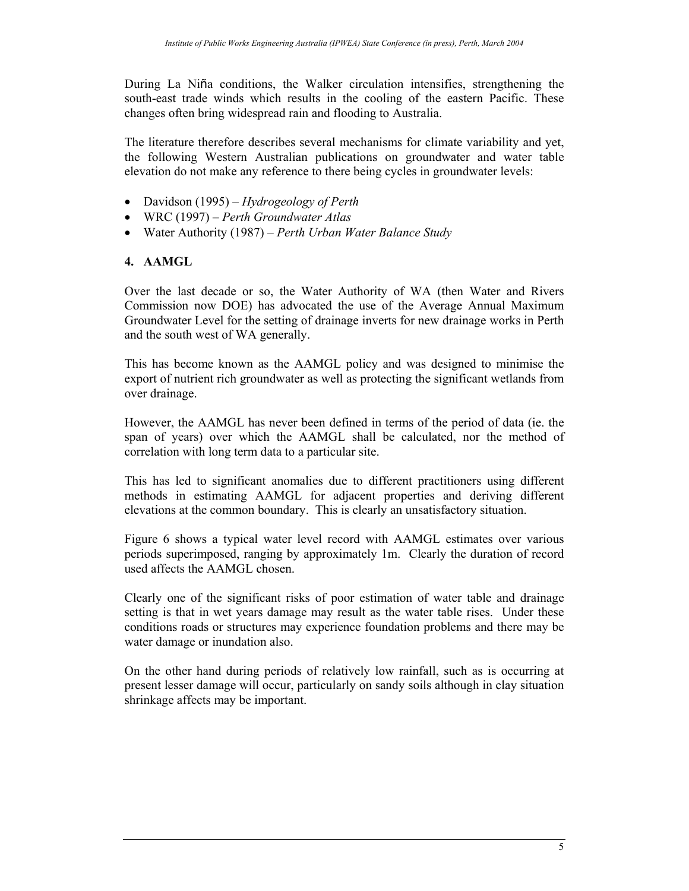During La Niña conditions, the Walker circulation intensifies, strengthening the south-east trade winds which results in the cooling of the eastern Pacific. These changes often bring widespread rain and flooding to Australia.

The literature therefore describes several mechanisms for climate variability and yet, the following Western Australian publications on groundwater and water table elevation do not make any reference to there being cycles in groundwater levels:

- Davidson (1995) *Hydrogeology of Perth*
- WRC (1997) *Perth Groundwater Atlas*
- Water Authority (1987) *Perth Urban Water Balance Study*

### **4. AAMGL**

Over the last decade or so, the Water Authority of WA (then Water and Rivers Commission now DOE) has advocated the use of the Average Annual Maximum Groundwater Level for the setting of drainage inverts for new drainage works in Perth and the south west of WA generally.

This has become known as the AAMGL policy and was designed to minimise the export of nutrient rich groundwater as well as protecting the significant wetlands from over drainage.

However, the AAMGL has never been defined in terms of the period of data (ie. the span of years) over which the AAMGL shall be calculated, nor the method of correlation with long term data to a particular site.

This has led to significant anomalies due to different practitioners using different methods in estimating AAMGL for adjacent properties and deriving different elevations at the common boundary. This is clearly an unsatisfactory situation.

Figure 6 shows a typical water level record with AAMGL estimates over various periods superimposed, ranging by approximately 1m. Clearly the duration of record used affects the AAMGL chosen.

Clearly one of the significant risks of poor estimation of water table and drainage setting is that in wet years damage may result as the water table rises. Under these conditions roads or structures may experience foundation problems and there may be water damage or inundation also.

On the other hand during periods of relatively low rainfall, such as is occurring at present lesser damage will occur, particularly on sandy soils although in clay situation shrinkage affects may be important.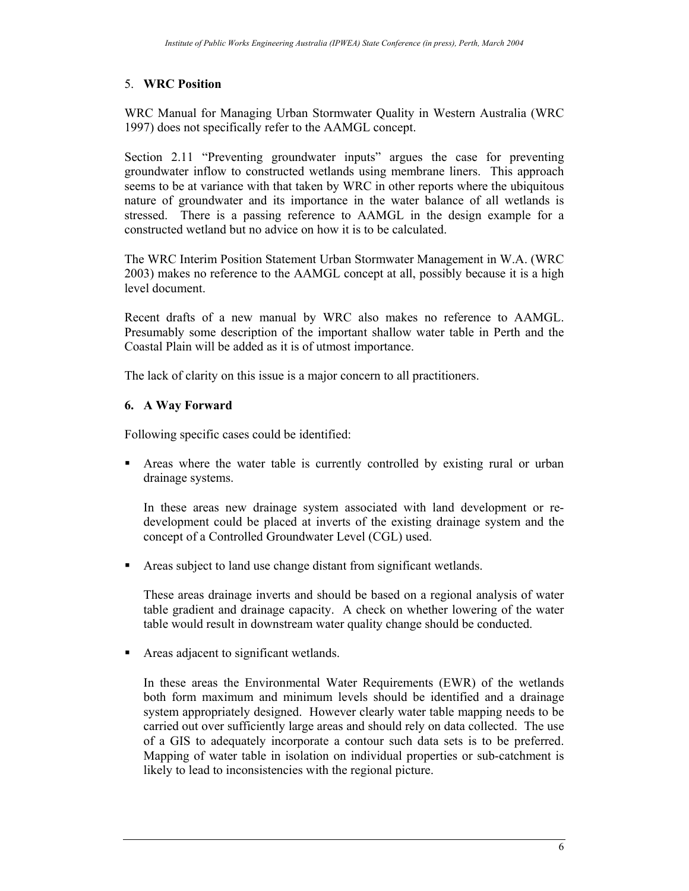## 5. **WRC Position**

WRC Manual for Managing Urban Stormwater Quality in Western Australia (WRC 1997) does not specifically refer to the AAMGL concept.

Section 2.11 "Preventing groundwater inputs" argues the case for preventing groundwater inflow to constructed wetlands using membrane liners. This approach seems to be at variance with that taken by WRC in other reports where the ubiquitous nature of groundwater and its importance in the water balance of all wetlands is stressed. There is a passing reference to AAMGL in the design example for a constructed wetland but no advice on how it is to be calculated.

The WRC Interim Position Statement Urban Stormwater Management in W.A. (WRC 2003) makes no reference to the AAMGL concept at all, possibly because it is a high level document.

Recent drafts of a new manual by WRC also makes no reference to AAMGL. Presumably some description of the important shallow water table in Perth and the Coastal Plain will be added as it is of utmost importance.

The lack of clarity on this issue is a major concern to all practitioners.

## **6. A Way Forward**

Following specific cases could be identified:

 Areas where the water table is currently controlled by existing rural or urban drainage systems.

In these areas new drainage system associated with land development or redevelopment could be placed at inverts of the existing drainage system and the concept of a Controlled Groundwater Level (CGL) used.

Areas subject to land use change distant from significant wetlands.

These areas drainage inverts and should be based on a regional analysis of water table gradient and drainage capacity. A check on whether lowering of the water table would result in downstream water quality change should be conducted.

Areas adjacent to significant wetlands.

In these areas the Environmental Water Requirements (EWR) of the wetlands both form maximum and minimum levels should be identified and a drainage system appropriately designed. However clearly water table mapping needs to be carried out over sufficiently large areas and should rely on data collected. The use of a GIS to adequately incorporate a contour such data sets is to be preferred. Mapping of water table in isolation on individual properties or sub-catchment is likely to lead to inconsistencies with the regional picture.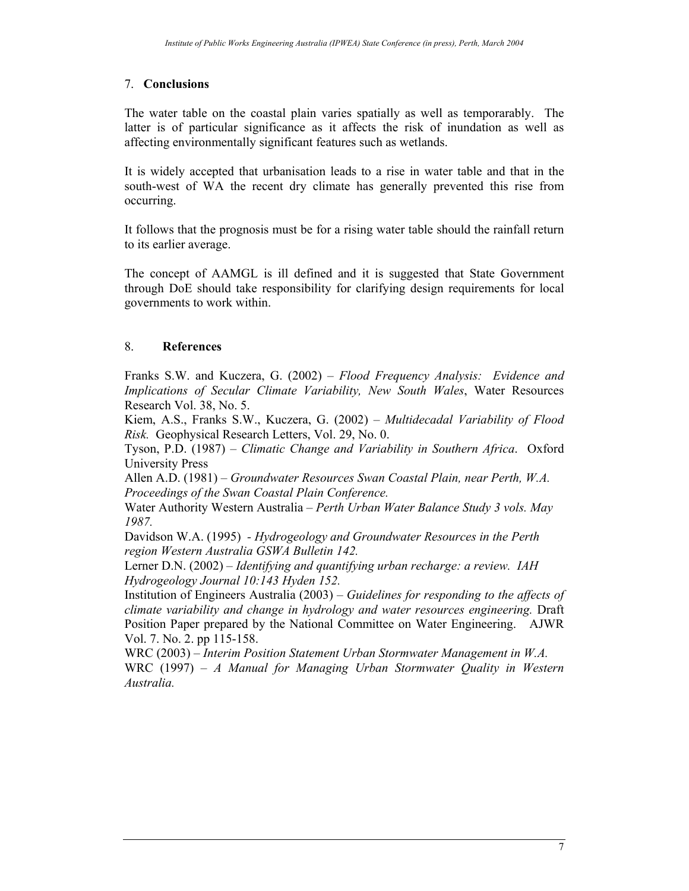## 7. **Conclusions**

The water table on the coastal plain varies spatially as well as temporarably. The latter is of particular significance as it affects the risk of inundation as well as affecting environmentally significant features such as wetlands.

It is widely accepted that urbanisation leads to a rise in water table and that in the south-west of WA the recent dry climate has generally prevented this rise from occurring.

It follows that the prognosis must be for a rising water table should the rainfall return to its earlier average.

The concept of AAMGL is ill defined and it is suggested that State Government through DoE should take responsibility for clarifying design requirements for local governments to work within.

# 8. **References**

Franks S.W. and Kuczera, G. (2002) – *Flood Frequency Analysis: Evidence and Implications of Secular Climate Variability, New South Wales*, Water Resources Research Vol. 38, No. 5.

Kiem, A.S., Franks S.W., Kuczera, G. (2002) – *Multidecadal Variability of Flood Risk.* Geophysical Research Letters, Vol. 29, No. 0.

Tyson, P.D. (1987) – *Climatic Change and Variability in Southern Africa*. Oxford University Press

Allen A.D. (1981) – *Groundwater Resources Swan Coastal Plain, near Perth, W.A. Proceedings of the Swan Coastal Plain Conference.* 

Water Authority Western Australia – *Perth Urban Water Balance Study 3 vols. May 1987.* 

Davidson W.A. (1995) *- Hydrogeology and Groundwater Resources in the Perth region Western Australia GSWA Bulletin 142.* 

Lerner D.N. (2002) – *Identifying and quantifying urban recharge: a review. IAH Hydrogeology Journal 10:143 Hyden 152.* 

Institution of Engineers Australia (2003) – *Guidelines for responding to the affects of climate variability and change in hydrology and water resources engineering.* Draft Position Paper prepared by the National Committee on Water Engineering. AJWR Vol. 7. No. 2. pp 115-158.

WRC (2003) – *Interim Position Statement Urban Stormwater Management in W.A.*  WRC (1997) – *A Manual for Managing Urban Stormwater Quality in Western Australia.*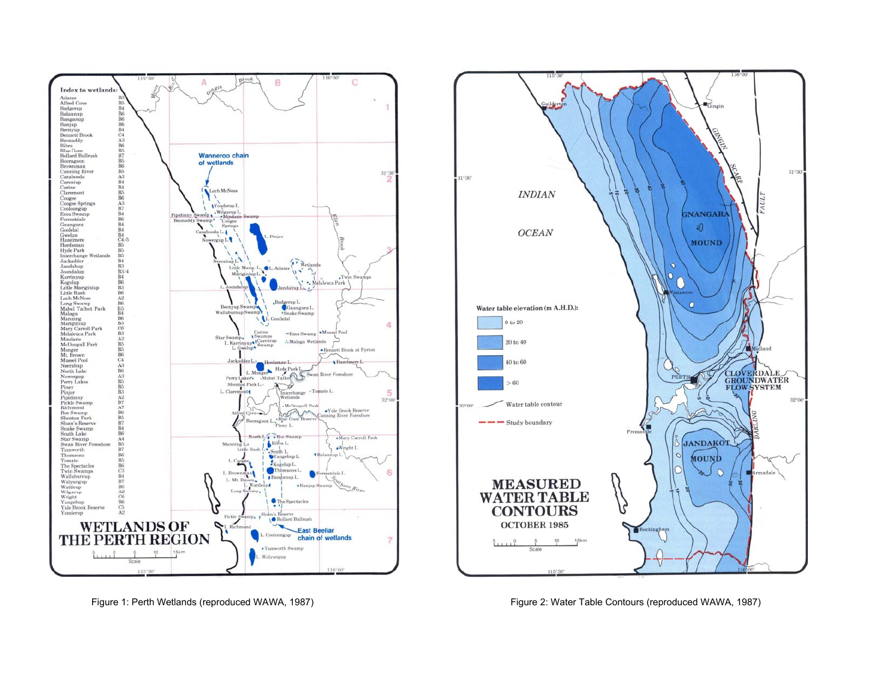



Figure 1: Perth Wetlands (reproduced WAWA, 1987) Figure 2: Water Table Contours (reproduced WAWA, 1987)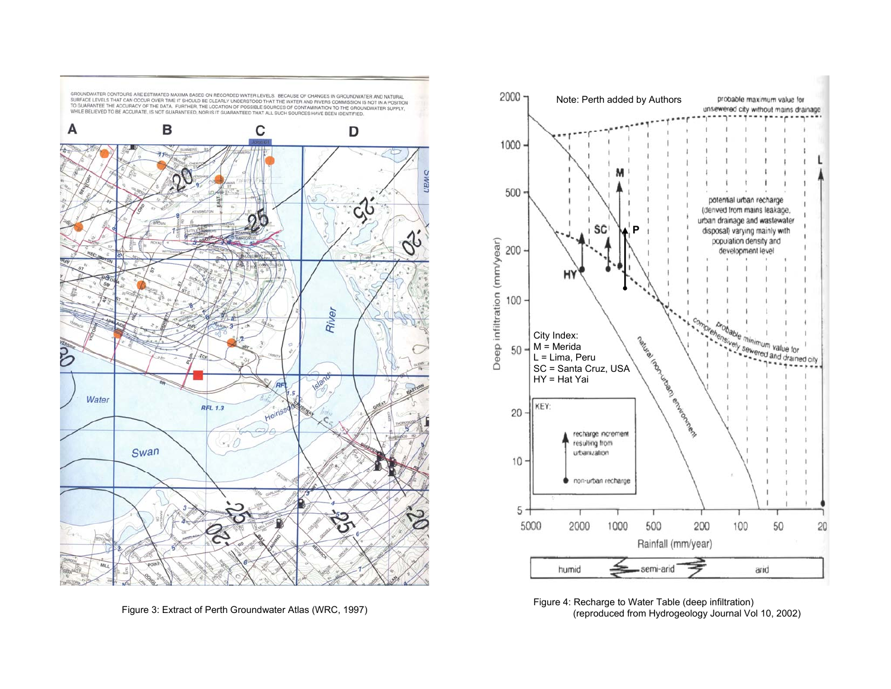



Figure 4: Recharge to Water Table (deep infiltration)<br>Figure 4: Recharge to Water Table (deep infiltration)<br>(reproduced from Hydrogeology Journal Vol 10, 2002)